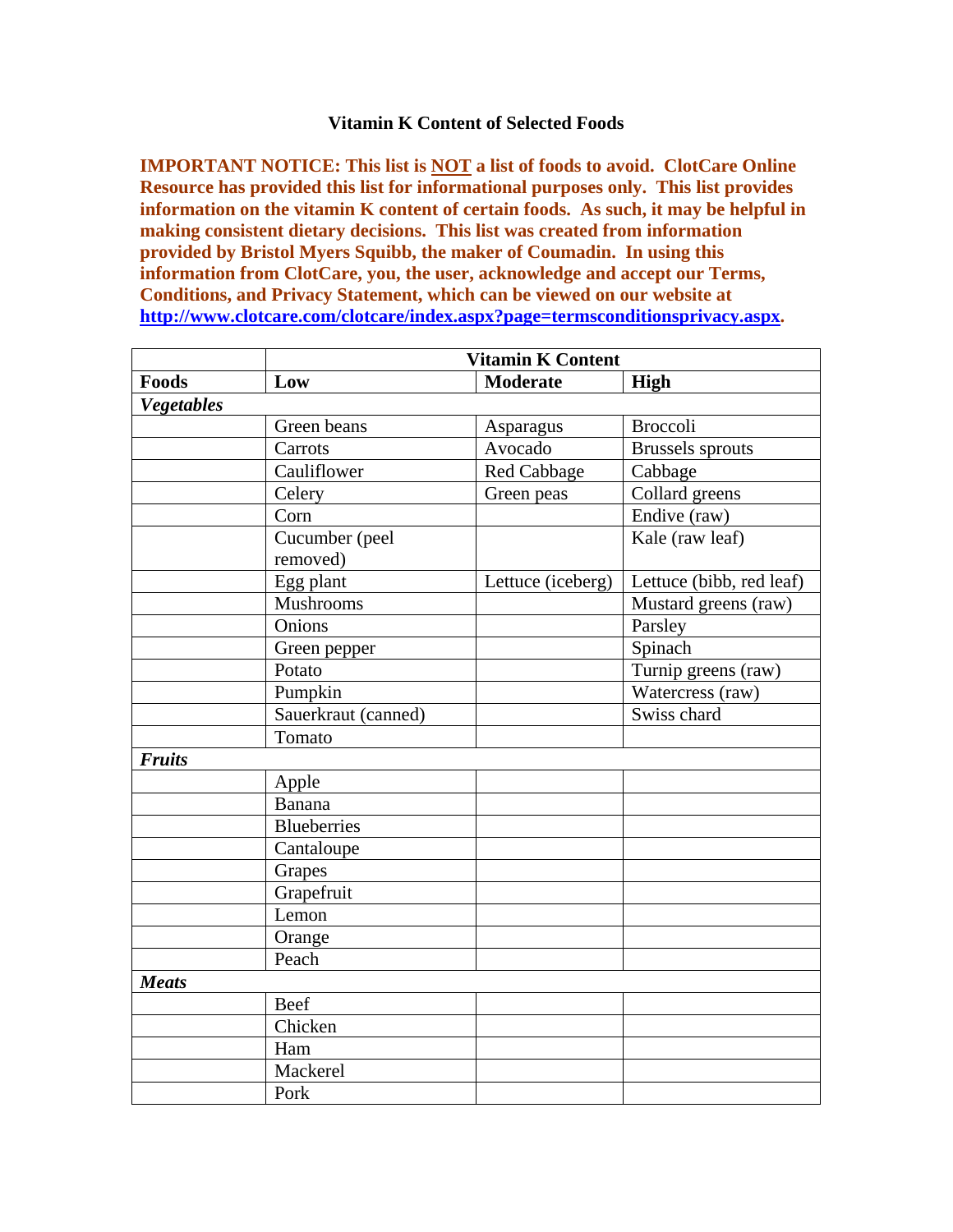## **Vitamin K Content of Selected Foods**

**IMPORTANT NOTICE: This list is NOT a list of foods to avoid. ClotCare Online Resource has provided this list for informational purposes only. This list provides information on the vitamin K content of certain foods. As such, it may be helpful in making consistent dietary decisions. This list was created from information provided by Bristol Myers Squibb, the maker of Coumadin. In using this information from ClotCare, you, the user, acknowledge and accept our Terms, Conditions, and Privacy Statement, which can be viewed on our website at <http://www.clotcare.com/clotcare/index.aspx?page=termsconditionsprivacy.aspx>.** 

|                   | <b>Vitamin K Content</b>   |                   |                          |  |
|-------------------|----------------------------|-------------------|--------------------------|--|
| Foods             | Low                        | <b>Moderate</b>   | High                     |  |
| <b>Vegetables</b> |                            |                   |                          |  |
|                   | Green beans                | Asparagus         | <b>Broccoli</b>          |  |
|                   | Carrots                    | Avocado           | <b>Brussels</b> sprouts  |  |
|                   | Cauliflower                | Red Cabbage       | Cabbage                  |  |
|                   | Celery                     | Green peas        | Collard greens           |  |
|                   | Corn                       |                   | Endive (raw)             |  |
|                   | Cucumber (peel<br>removed) |                   | Kale (raw leaf)          |  |
|                   | Egg plant                  | Lettuce (iceberg) | Lettuce (bibb, red leaf) |  |
|                   | Mushrooms                  |                   | Mustard greens (raw)     |  |
|                   | Onions                     |                   | Parsley                  |  |
|                   | Green pepper               |                   | Spinach                  |  |
|                   | Potato                     |                   | Turnip greens (raw)      |  |
|                   | Pumpkin                    |                   | Watercress (raw)         |  |
|                   | Sauerkraut (canned)        |                   | Swiss chard              |  |
|                   | Tomato                     |                   |                          |  |
| <b>Fruits</b>     |                            |                   |                          |  |
|                   | Apple                      |                   |                          |  |
|                   | <b>Banana</b>              |                   |                          |  |
|                   | <b>Blueberries</b>         |                   |                          |  |
|                   | Cantaloupe                 |                   |                          |  |
|                   | Grapes                     |                   |                          |  |
|                   | Grapefruit                 |                   |                          |  |
|                   | Lemon                      |                   |                          |  |
|                   | Orange                     |                   |                          |  |
|                   | Peach                      |                   |                          |  |
| <b>Meats</b>      |                            |                   |                          |  |
|                   | Beef                       |                   |                          |  |
|                   | Chicken                    |                   |                          |  |
|                   | Ham                        |                   |                          |  |
|                   | Mackerel                   |                   |                          |  |
|                   | Pork                       |                   |                          |  |